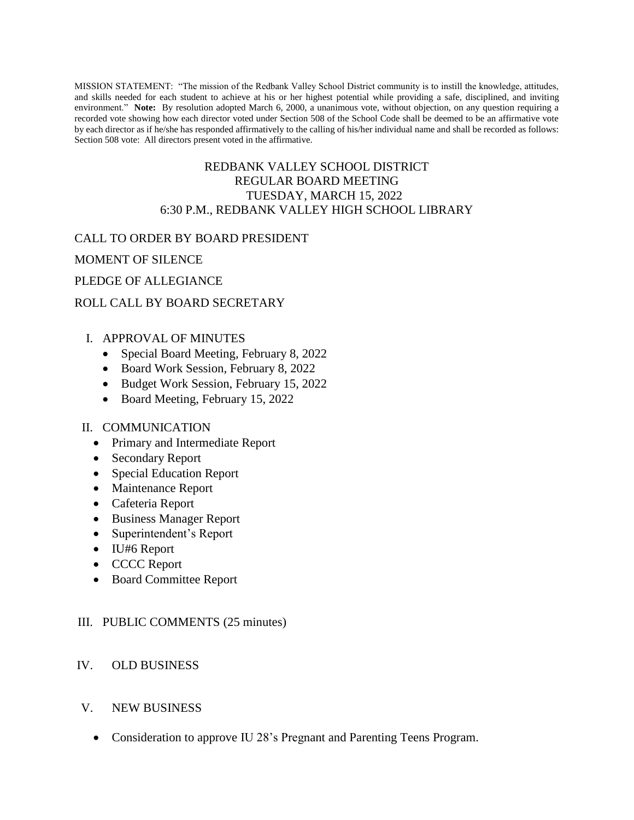MISSION STATEMENT: "The mission of the Redbank Valley School District community is to instill the knowledge, attitudes, and skills needed for each student to achieve at his or her highest potential while providing a safe, disciplined, and inviting environment." **Note:** By resolution adopted March 6, 2000, a unanimous vote, without objection, on any question requiring a recorded vote showing how each director voted under Section 508 of the School Code shall be deemed to be an affirmative vote by each director as if he/she has responded affirmatively to the calling of his/her individual name and shall be recorded as follows: Section 508 vote: All directors present voted in the affirmative.

### REDBANK VALLEY SCHOOL DISTRICT REGULAR BOARD MEETING TUESDAY, MARCH 15, 2022 6:30 P.M., REDBANK VALLEY HIGH SCHOOL LIBRARY

### CALL TO ORDER BY BOARD PRESIDENT

MOMENT OF SILENCE

#### PLEDGE OF ALLEGIANCE

#### ROLL CALL BY BOARD SECRETARY

#### I. APPROVAL OF MINUTES

- Special Board Meeting, February 8, 2022
- Board Work Session, February 8, 2022
- Budget Work Session, February 15, 2022
- Board Meeting, February 15, 2022

#### II. COMMUNICATION

- Primary and Intermediate Report
- Secondary Report
- Special Education Report
- Maintenance Report
- Cafeteria Report
- Business Manager Report
- Superintendent's Report
- IU#6 Report
- CCCC Report
- Board Committee Report

#### III. PUBLIC COMMENTS (25 minutes)

#### IV. OLD BUSINESS

- V. NEW BUSINESS
	- Consideration to approve IU 28's Pregnant and Parenting Teens Program.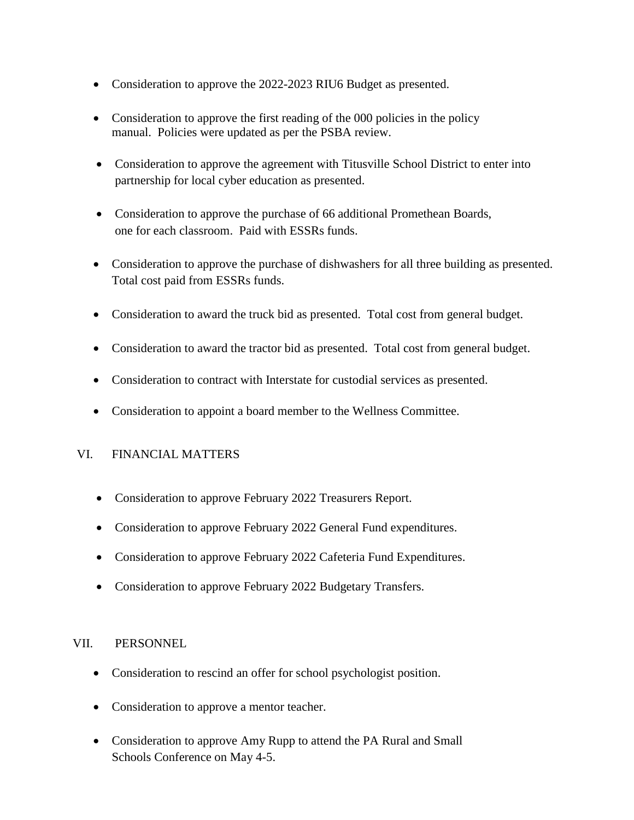- Consideration to approve the 2022-2023 RIU6 Budget as presented.
- Consideration to approve the first reading of the 000 policies in the policy manual. Policies were updated as per the PSBA review.
- Consideration to approve the agreement with Titusville School District to enter into partnership for local cyber education as presented.
- Consideration to approve the purchase of 66 additional Promethean Boards, one for each classroom. Paid with ESSRs funds.
- Consideration to approve the purchase of dishwashers for all three building as presented. Total cost paid from ESSRs funds.
- Consideration to award the truck bid as presented. Total cost from general budget.
- Consideration to award the tractor bid as presented. Total cost from general budget.
- Consideration to contract with Interstate for custodial services as presented.
- Consideration to appoint a board member to the Wellness Committee.

# VI. FINANCIAL MATTERS

- Consideration to approve February 2022 Treasurers Report.
- Consideration to approve February 2022 General Fund expenditures.
- Consideration to approve February 2022 Cafeteria Fund Expenditures.
- Consideration to approve February 2022 Budgetary Transfers.

# VII. PERSONNEL

- Consideration to rescind an offer for school psychologist position.
- Consideration to approve a mentor teacher.
- Consideration to approve Amy Rupp to attend the PA Rural and Small Schools Conference on May 4-5.